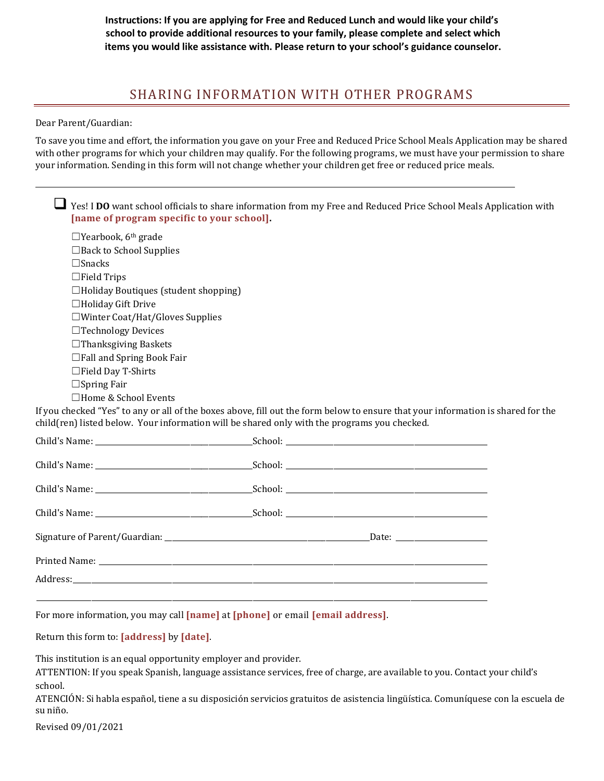**Instructions: If you are applying for Free and Reduced Lunch and would like your child's school to provide additional resources to your family, please complete and select which items you would like assistance with. Please return to your school's guidance counselor.**

## SHARING INFORMATION WITH OTHER PROGRAMS

Dear Parent/Guardian:

To save you time and effort, the information you gave on your Free and Reduced Price School Meals Application may be shared with other programs for which your children may qualify. For the following programs, we must have your permission to share your information. Sending in this form will not change whether your children get free or reduced price meals.

| Yes! I DO want school officials to share information from my Free and Reduced Price School Meals Application with<br>[name of program specific to your school]. |
|-----------------------------------------------------------------------------------------------------------------------------------------------------------------|
| $\Box$ Yearbook, 6 <sup>th</sup> grade                                                                                                                          |
| $\Box$ Back to School Supplies                                                                                                                                  |
| $\Box$ Snacks                                                                                                                                                   |
| $\Box$ Field Trips                                                                                                                                              |
| $\Box$ Holiday Boutiques (student shopping)                                                                                                                     |
| $\Box$ Holiday Gift Drive                                                                                                                                       |
| $\square$ Winter Coat/Hat/Gloves Supplies                                                                                                                       |
| $\Box$ Technology Devices                                                                                                                                       |
| $\Box$ Thanksgiving Baskets                                                                                                                                     |
| $\Box$ Fall and Spring Book Fair                                                                                                                                |
| $\Box$ Field Day T-Shirts                                                                                                                                       |
| $\Box$ Spring Fair                                                                                                                                              |
| $\Box$ Home & School Events                                                                                                                                     |
| ah aahaad (Waad) ka amaana 11 afkka hamaa hamaa fill amkka famu halamka mamma kakaanaminfammakan isahamad famkha                                                |

If you checked "Yes" to any or all of the boxes above, fill out the form below to ensure that your information is shared for the child(ren) listed below. Your information will be shared only with the programs you checked.

For more information, you may call **[name]** at **[phone]** or email **[email address]**.

Return this form to: **[address]** by **[date]**.

This institution is an equal opportunity employer and provider.

ATTENTION: If you speak Spanish, language assistance services, free of charge, are available to you. Contact your child's school.

ATENCIÓN: Si habla español, tiene a su disposición servicios gratuitos de asistencia lingüística. Comuníquese con la escuela de su niño.

Revised 09/01/2021